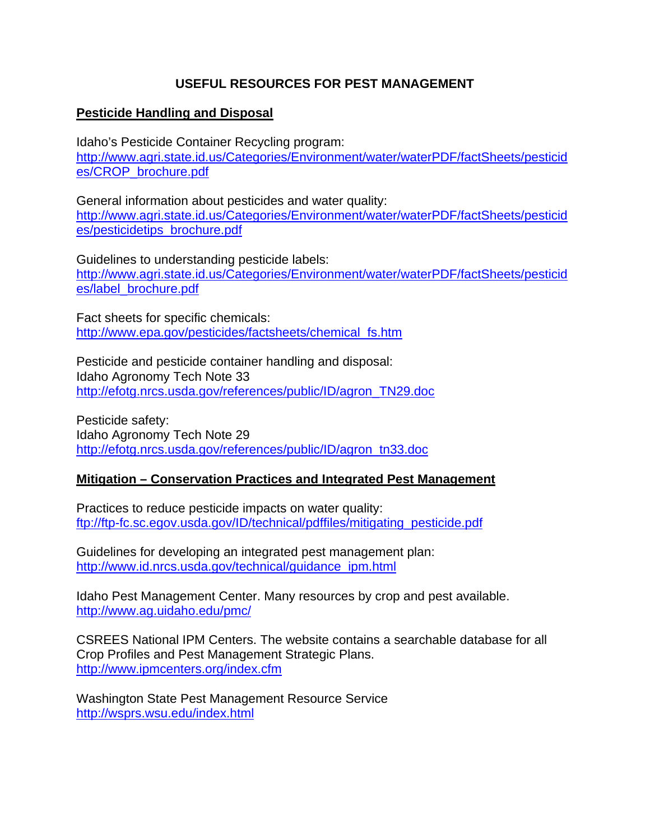## **USEFUL RESOURCES FOR PEST MANAGEMENT**

## **Pesticide Handling and Disposal**

Idaho's Pesticide Container Recycling program: [http://www.agri.state.id.us/Categories/Environment/water/waterPDF/factSheets/pesticid](http://www.agri.state.id.us/Categories/Environment/water/waterPDF/factSheets/pesticides/CROP_brochure.pdf) [es/CROP\\_brochure.pdf](http://www.agri.state.id.us/Categories/Environment/water/waterPDF/factSheets/pesticides/CROP_brochure.pdf)

General information about pesticides and water quality: [http://www.agri.state.id.us/Categories/Environment/water/waterPDF/factSheets/pesticid](http://www.agri.state.id.us/Categories/Environment/water/waterPDF/factSheets/pesticides/pesticidetips_brochure.pdf) [es/pesticidetips\\_brochure.pdf](http://www.agri.state.id.us/Categories/Environment/water/waterPDF/factSheets/pesticides/pesticidetips_brochure.pdf)

Guidelines to understanding pesticide labels: [http://www.agri.state.id.us/Categories/Environment/water/waterPDF/factSheets/pesticid](http://www.agri.state.id.us/Categories/Environment/water/waterPDF/factSheets/pesticides/label_brochure.pdf) [es/label\\_brochure.pdf](http://www.agri.state.id.us/Categories/Environment/water/waterPDF/factSheets/pesticides/label_brochure.pdf)

Fact sheets for specific chemicals: [http://www.epa.gov/pesticides/factsheets/chemical\\_fs.htm](http://www.epa.gov/pesticides/factsheets/chemical_fs.htm)

Pesticide and pesticide container handling and disposal: Idaho Agronomy Tech Note 33 [http://efotg.nrcs.usda.gov/references/public/ID/agron\\_TN29.doc](http://efotg.nrcs.usda.gov/references/public/ID/agron_TN29.doc)

Pesticide safety: Idaho Agronomy Tech Note 29 [http://efotg.nrcs.usda.gov/references/public/ID/agron\\_tn33.doc](http://efotg.nrcs.usda.gov/references/public/ID/agron_tn33.doc)

## **Mitigation – Conservation Practices and Integrated Pest Management**

Practices to reduce pesticide impacts on water quality: [ftp://ftp-fc.sc.egov.usda.gov/ID/technical/pdffiles/mitigating\\_pesticide.pdf](ftp://ftp-fc.sc.egov.usda.gov/ID/technical/pdffiles/mitigating_pesticide.pdf)

Guidelines for developing an integrated pest management plan: [http://www.id.nrcs.usda.gov/technical/guidance\\_ipm.html](http://www.id.nrcs.usda.gov/technical/guidance_ipm.html)

Idaho Pest Management Center. Many resources by crop and pest available. <http://www.ag.uidaho.edu/pmc/>

CSREES National IPM Centers. The website contains a searchable database for all Crop Profiles and Pest Management Strategic Plans. <http://www.ipmcenters.org/index.cfm>

Washington State Pest Management Resource Service <http://wsprs.wsu.edu/index.html>